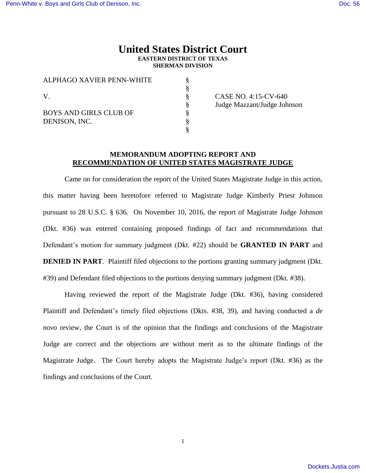# **United States District Court EASTERN DISTRICT OF TEXAS SHERMAN DIVISION**

§

| ALPHAGO XAVIER PENN-WHITE                      |  |
|------------------------------------------------|--|
|                                                |  |
|                                                |  |
| <b>BOYS AND GIRLS CLUB OF</b><br>DENISON, INC. |  |
|                                                |  |

CASE NO. 4:15-CV-640 § Judge Mazzant/Judge Johnson

## **MEMORANDUM ADOPTING REPORT AND RECOMMENDATION OF UNITED STATES MAGISTRATE JUDGE**

Came on for consideration the report of the United States Magistrate Judge in this action, this matter having been heretofore referred to Magistrate Judge Kimberly Priest Johnson pursuant to 28 U.S.C. § 636. On November 10, 2016, the report of Magistrate Judge Johnson (Dkt. #36) was entered containing proposed findings of fact and recommendations that Defendant's motion for summary judgment (Dkt. #22) should be **GRANTED IN PART** and **DENIED IN PART.** Plaintiff filed objections to the portions granting summary judgment (Dkt. #39) and Defendant filed objections to the portions denying summary judgment (Dkt. #38).

Having reviewed the report of the Magistrate Judge (Dkt. #36), having considered Plaintiff and Defendant's timely filed objections (Dkts. #38, 39), and having conducted a *de novo* review, the Court is of the opinion that the findings and conclusions of the Magistrate Judge are correct and the objections are without merit as to the ultimate findings of the Magistrate Judge. The Court hereby adopts the Magistrate Judge's report (Dkt. #36) as the findings and conclusions of the Court.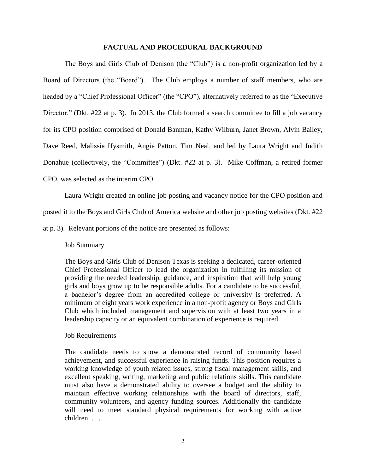#### **FACTUAL AND PROCEDURAL BACKGROUND**

The Boys and Girls Club of Denison (the "Club") is a non-profit organization led by a Board of Directors (the "Board"). The Club employs a number of staff members, who are headed by a "Chief Professional Officer" (the "CPO"), alternatively referred to as the "Executive" Director." (Dkt. #22 at p. 3). In 2013, the Club formed a search committee to fill a job vacancy for its CPO position comprised of Donald Banman, Kathy Wilburn, Janet Brown, Alvin Bailey, Dave Reed, Malissia Hysmith, Angie Patton, Tim Neal, and led by Laura Wright and Judith Donahue (collectively, the "Committee") (Dkt. #22 at p. 3). Mike Coffman, a retired former CPO, was selected as the interim CPO.

Laura Wright created an online job posting and vacancy notice for the CPO position and

posted it to the Boys and Girls Club of America website and other job posting websites (Dkt. #22

at p. 3). Relevant portions of the notice are presented as follows:

#### Job Summary

The Boys and Girls Club of Denison Texas is seeking a dedicated, career-oriented Chief Professional Officer to lead the organization in fulfilling its mission of providing the needed leadership, guidance, and inspiration that will help young girls and boys grow up to be responsible adults. For a candidate to be successful, a bachelor's degree from an accredited college or university is preferred. A minimum of eight years work experience in a non-profit agency or Boys and Girls Club which included management and supervision with at least two years in a leadership capacity or an equivalent combination of experience is required.

## Job Requirements

The candidate needs to show a demonstrated record of community based achievement, and successful experience in raising funds. This position requires a working knowledge of youth related issues, strong fiscal management skills, and excellent speaking, writing, marketing and public relations skills. This candidate must also have a demonstrated ability to oversee a budget and the ability to maintain effective working relationships with the board of directors, staff, community volunteers, and agency funding sources. Additionally the candidate will need to meet standard physical requirements for working with active children. . . .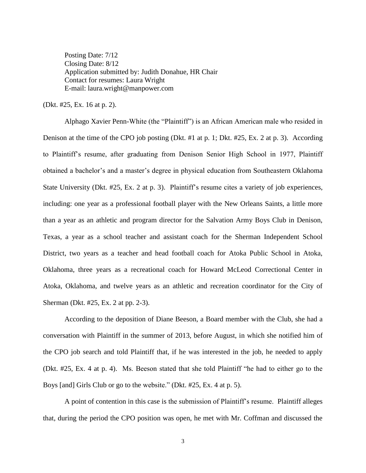Posting Date:  $7/12$ Closing Date: 8/12 Application submitted by: Judith Donahue, HR Chair Contact for resumes: Laura Wright E-mail: laura.wright@manpower.com

(Dkt. #25, Ex. 16 at p. 2).

Alphago Xavier Penn-White (the "Plaintiff") is an African American male who resided in Denison at the time of the CPO job posting (Dkt. #1 at p. 1; Dkt. #25, Ex. 2 at p. 3). According to Plaintiff's resume, after graduating from Denison Senior High School in 1977, Plaintiff obtained a bachelor's and a master's degree in physical education from Southeastern Oklahoma State University (Dkt. #25, Ex. 2 at p. 3). Plaintiff's resume cites a variety of job experiences, including: one year as a professional football player with the New Orleans Saints, a little more than a year as an athletic and program director for the Salvation Army Boys Club in Denison, Texas, a year as a school teacher and assistant coach for the Sherman Independent School District, two years as a teacher and head football coach for Atoka Public School in Atoka, Oklahoma, three years as a recreational coach for Howard McLeod Correctional Center in Atoka, Oklahoma, and twelve years as an athletic and recreation coordinator for the City of Sherman (Dkt. #25, Ex. 2 at pp. 2-3).

According to the deposition of Diane Beeson, a Board member with the Club, she had a conversation with Plaintiff in the summer of 2013, before August, in which she notified him of the CPO job search and told Plaintiff that, if he was interested in the job, he needed to apply (Dkt. #25, Ex. 4 at p. 4). Ms. Beeson stated that she told Plaintiff "he had to either go to the Boys [and] Girls Club or go to the website." (Dkt. #25, Ex. 4 at p. 5).

A point of contention in this case is the submission of Plaintiff's resume. Plaintiff alleges that, during the period the CPO position was open, he met with Mr. Coffman and discussed the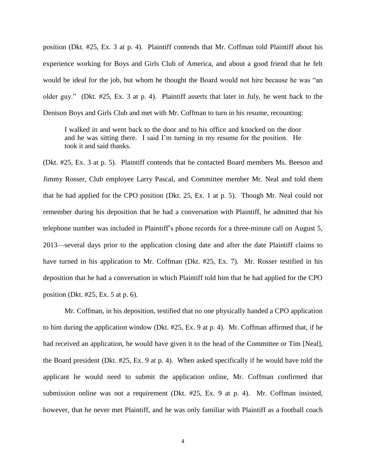position (Dkt. #25, Ex. 3 at p. 4). Plaintiff contends that Mr. Coffman told Plaintiff about his experience working for Boys and Girls Club of America, and about a good friend that he felt would be ideal for the job, but whom he thought the Board would not hire because he was "an older guy." (Dkt. #25, Ex. 3 at p. 4). Plaintiff asserts that later in July, he went back to the Denison Boys and Girls Club and met with Mr. Coffman to turn in his resume, recounting:

I walked in and went back to the door and to his office and knocked on the door and he was sitting there. I said I'm turning in my resume for the position. He took it and said thanks.

(Dkt. #25, Ex. 3 at p. 5). Plaintiff contends that he contacted Board members Ms. Beeson and Jimmy Rosser, Club employee Larry Pascal, and Committee member Mr. Neal and told them that he had applied for the CPO position (Dkt. 25, Ex. 1 at p. 5). Though Mr. Neal could not remember during his deposition that he had a conversation with Plaintiff, he admitted that his telephone number was included in Plaintiff's phone records for a three-minute call on August 5, 2013—several days prior to the application closing date and after the date Plaintiff claims to have turned in his application to Mr. Coffman (Dkt. #25, Ex. 7). Mr. Rosser testified in his deposition that he had a conversation in which Plaintiff told him that he had applied for the CPO position (Dkt. #25, Ex. 5 at p. 6).

Mr. Coffman, in his deposition, testified that no one physically handed a CPO application to him during the application window (Dkt. #25, Ex. 9 at p. 4). Mr. Coffman affirmed that, if he had received an application, he would have given it to the head of the Committee or Tim [Neal], the Board president (Dkt. #25, Ex. 9 at p. 4). When asked specifically if he would have told the applicant he would need to submit the application online, Mr. Coffman confirmed that submission online was not a requirement (Dkt. #25, Ex. 9 at p. 4). Mr. Coffman insisted, however, that he never met Plaintiff, and he was only familiar with Plaintiff as a football coach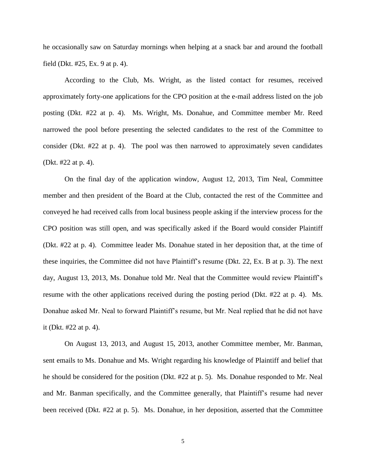he occasionally saw on Saturday mornings when helping at a snack bar and around the football field (Dkt. #25, Ex. 9 at p. 4).

According to the Club, Ms. Wright, as the listed contact for resumes, received approximately forty-one applications for the CPO position at the e-mail address listed on the job posting (Dkt. #22 at p. 4). Ms. Wright, Ms. Donahue, and Committee member Mr. Reed narrowed the pool before presenting the selected candidates to the rest of the Committee to consider (Dkt. #22 at p. 4). The pool was then narrowed to approximately seven candidates (Dkt. #22 at p. 4).

On the final day of the application window, August 12, 2013, Tim Neal, Committee member and then president of the Board at the Club, contacted the rest of the Committee and conveyed he had received calls from local business people asking if the interview process for the CPO position was still open, and was specifically asked if the Board would consider Plaintiff (Dkt. #22 at p. 4). Committee leader Ms. Donahue stated in her deposition that, at the time of these inquiries, the Committee did not have Plaintiff's resume (Dkt. 22, Ex. B at p. 3). The next day, August 13, 2013, Ms. Donahue told Mr. Neal that the Committee would review Plaintiff's resume with the other applications received during the posting period (Dkt. #22 at p. 4). Ms. Donahue asked Mr. Neal to forward Plaintiff's resume, but Mr. Neal replied that he did not have it (Dkt. #22 at p. 4).

On August 13, 2013, and August 15, 2013, another Committee member, Mr. Banman, sent emails to Ms. Donahue and Ms. Wright regarding his knowledge of Plaintiff and belief that he should be considered for the position (Dkt. #22 at p. 5). Ms. Donahue responded to Mr. Neal and Mr. Banman specifically, and the Committee generally, that Plaintiff's resume had never been received (Dkt. #22 at p. 5). Ms. Donahue, in her deposition, asserted that the Committee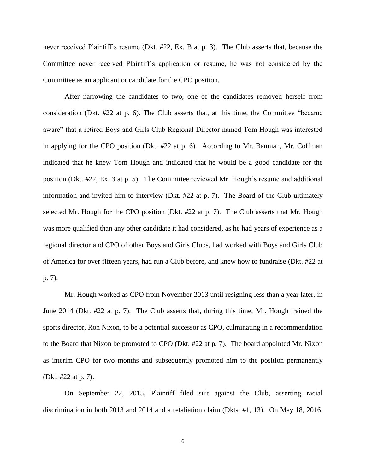never received Plaintiff's resume (Dkt. #22, Ex. B at p. 3). The Club asserts that, because the Committee never received Plaintiff's application or resume, he was not considered by the Committee as an applicant or candidate for the CPO position.

After narrowing the candidates to two, one of the candidates removed herself from consideration (Dkt. #22 at p. 6). The Club asserts that, at this time, the Committee "became aware" that a retired Boys and Girls Club Regional Director named Tom Hough was interested in applying for the CPO position (Dkt. #22 at p. 6). According to Mr. Banman, Mr. Coffman indicated that he knew Tom Hough and indicated that he would be a good candidate for the position (Dkt. #22, Ex. 3 at p. 5). The Committee reviewed Mr. Hough's resume and additional information and invited him to interview (Dkt. #22 at p. 7). The Board of the Club ultimately selected Mr. Hough for the CPO position (Dkt. #22 at p. 7). The Club asserts that Mr. Hough was more qualified than any other candidate it had considered, as he had years of experience as a regional director and CPO of other Boys and Girls Clubs, had worked with Boys and Girls Club of America for over fifteen years, had run a Club before, and knew how to fundraise (Dkt. #22 at p. 7).

Mr. Hough worked as CPO from November 2013 until resigning less than a year later, in June 2014 (Dkt. #22 at p. 7). The Club asserts that, during this time, Mr. Hough trained the sports director, Ron Nixon, to be a potential successor as CPO, culminating in a recommendation to the Board that Nixon be promoted to CPO (Dkt. #22 at p. 7). The board appointed Mr. Nixon as interim CPO for two months and subsequently promoted him to the position permanently (Dkt. #22 at p. 7).

On September 22, 2015, Plaintiff filed suit against the Club, asserting racial discrimination in both 2013 and 2014 and a retaliation claim (Dkts. #1, 13). On May 18, 2016,

6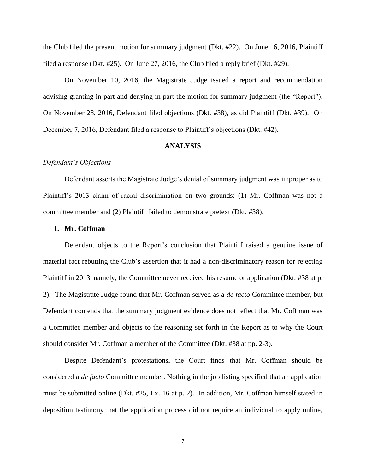the Club filed the present motion for summary judgment (Dkt. #22). On June 16, 2016, Plaintiff filed a response (Dkt. #25). On June 27, 2016, the Club filed a reply brief (Dkt. #29).

On November 10, 2016, the Magistrate Judge issued a report and recommendation advising granting in part and denying in part the motion for summary judgment (the "Report"). On November 28, 2016, Defendant filed objections (Dkt. #38), as did Plaintiff (Dkt. #39). On December 7, 2016, Defendant filed a response to Plaintiff's objections (Dkt. #42).

#### **ANALYSIS**

### *Defendant's Objections*

Defendant asserts the Magistrate Judge's denial of summary judgment was improper as to Plaintiff's 2013 claim of racial discrimination on two grounds: (1) Mr. Coffman was not a committee member and (2) Plaintiff failed to demonstrate pretext (Dkt. #38).

#### **1. Mr. Coffman**

Defendant objects to the Report's conclusion that Plaintiff raised a genuine issue of material fact rebutting the Club's assertion that it had a non-discriminatory reason for rejecting Plaintiff in 2013, namely, the Committee never received his resume or application (Dkt. #38 at p. 2). The Magistrate Judge found that Mr. Coffman served as a *de facto* Committee member, but Defendant contends that the summary judgment evidence does not reflect that Mr. Coffman was a Committee member and objects to the reasoning set forth in the Report as to why the Court should consider Mr. Coffman a member of the Committee (Dkt. #38 at pp. 2-3).

Despite Defendant's protestations, the Court finds that Mr. Coffman should be considered a *de facto* Committee member. Nothing in the job listing specified that an application must be submitted online (Dkt. #25, Ex. 16 at p. 2). In addition, Mr. Coffman himself stated in deposition testimony that the application process did not require an individual to apply online,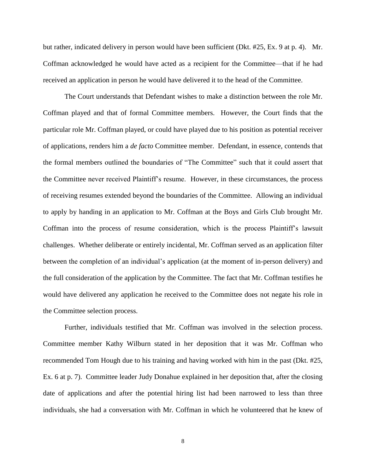but rather, indicated delivery in person would have been sufficient (Dkt. #25, Ex. 9 at p. 4). Mr. Coffman acknowledged he would have acted as a recipient for the Committee—that if he had received an application in person he would have delivered it to the head of the Committee.

The Court understands that Defendant wishes to make a distinction between the role Mr. Coffman played and that of formal Committee members. However, the Court finds that the particular role Mr. Coffman played, or could have played due to his position as potential receiver of applications, renders him a *de facto* Committee member. Defendant, in essence, contends that the formal members outlined the boundaries of "The Committee" such that it could assert that the Committee never received Plaintiff's resume. However, in these circumstances, the process of receiving resumes extended beyond the boundaries of the Committee. Allowing an individual to apply by handing in an application to Mr. Coffman at the Boys and Girls Club brought Mr. Coffman into the process of resume consideration, which is the process Plaintiff's lawsuit challenges. Whether deliberate or entirely incidental, Mr. Coffman served as an application filter between the completion of an individual's application (at the moment of in-person delivery) and the full consideration of the application by the Committee. The fact that Mr. Coffman testifies he would have delivered any application he received to the Committee does not negate his role in the Committee selection process.

Further, individuals testified that Mr. Coffman was involved in the selection process. Committee member Kathy Wilburn stated in her deposition that it was Mr. Coffman who recommended Tom Hough due to his training and having worked with him in the past (Dkt. #25, Ex. 6 at p. 7). Committee leader Judy Donahue explained in her deposition that, after the closing date of applications and after the potential hiring list had been narrowed to less than three individuals, she had a conversation with Mr. Coffman in which he volunteered that he knew of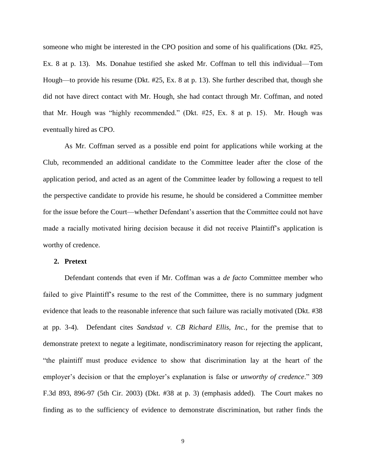someone who might be interested in the CPO position and some of his qualifications (Dkt. #25, Ex. 8 at p. 13). Ms. Donahue testified she asked Mr. Coffman to tell this individual—Tom Hough—to provide his resume (Dkt. #25, Ex. 8 at p. 13). She further described that, though she did not have direct contact with Mr. Hough, she had contact through Mr. Coffman, and noted that Mr. Hough was "highly recommended." (Dkt. #25, Ex. 8 at p. 15). Mr. Hough was eventually hired as CPO.

As Mr. Coffman served as a possible end point for applications while working at the Club, recommended an additional candidate to the Committee leader after the close of the application period, and acted as an agent of the Committee leader by following a request to tell the perspective candidate to provide his resume, he should be considered a Committee member for the issue before the Court—whether Defendant's assertion that the Committee could not have made a racially motivated hiring decision because it did not receive Plaintiff's application is worthy of credence.

## **2. Pretext**

Defendant contends that even if Mr. Coffman was a *de facto* Committee member who failed to give Plaintiff's resume to the rest of the Committee, there is no summary judgment evidence that leads to the reasonable inference that such failure was racially motivated (Dkt. #38 at pp. 3-4). Defendant cites *Sandstad v. CB Richard Ellis, Inc.*, for the premise that to demonstrate pretext to negate a legitimate, nondiscriminatory reason for rejecting the applicant, "the plaintiff must produce evidence to show that discrimination lay at the heart of the employer's decision or that the employer's explanation is false or *unworthy of credence*." 309 F.3d 893, 896-97 (5th Cir. 2003) (Dkt. #38 at p. 3) (emphasis added). The Court makes no finding as to the sufficiency of evidence to demonstrate discrimination, but rather finds the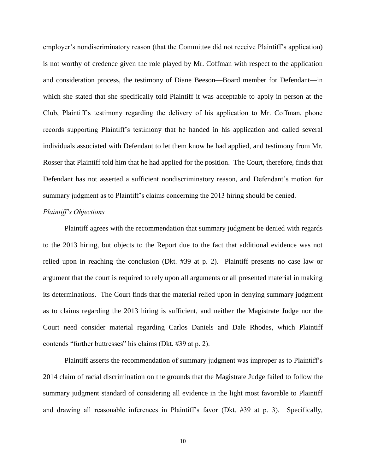employer's nondiscriminatory reason (that the Committee did not receive Plaintiff's application) is not worthy of credence given the role played by Mr. Coffman with respect to the application and consideration process, the testimony of Diane Beeson—Board member for Defendant—in which she stated that she specifically told Plaintiff it was acceptable to apply in person at the Club, Plaintiff's testimony regarding the delivery of his application to Mr. Coffman, phone records supporting Plaintiff's testimony that he handed in his application and called several individuals associated with Defendant to let them know he had applied, and testimony from Mr. Rosser that Plaintiff told him that he had applied for the position. The Court, therefore, finds that Defendant has not asserted a sufficient nondiscriminatory reason, and Defendant's motion for summary judgment as to Plaintiff's claims concerning the 2013 hiring should be denied.

## *Plaintiff's Objections*

Plaintiff agrees with the recommendation that summary judgment be denied with regards to the 2013 hiring, but objects to the Report due to the fact that additional evidence was not relied upon in reaching the conclusion (Dkt. #39 at p. 2). Plaintiff presents no case law or argument that the court is required to rely upon all arguments or all presented material in making its determinations. The Court finds that the material relied upon in denying summary judgment as to claims regarding the 2013 hiring is sufficient, and neither the Magistrate Judge nor the Court need consider material regarding Carlos Daniels and Dale Rhodes, which Plaintiff contends "further buttresses" his claims (Dkt. #39 at p. 2).

Plaintiff asserts the recommendation of summary judgment was improper as to Plaintiff's 2014 claim of racial discrimination on the grounds that the Magistrate Judge failed to follow the summary judgment standard of considering all evidence in the light most favorable to Plaintiff and drawing all reasonable inferences in Plaintiff's favor (Dkt. #39 at p. 3). Specifically,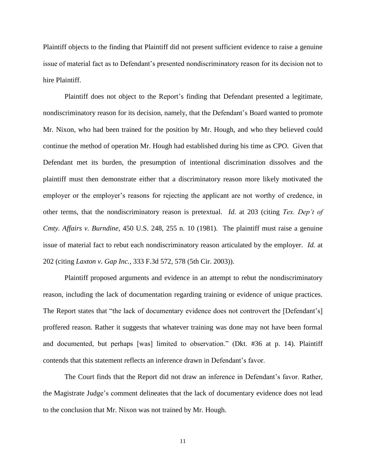Plaintiff objects to the finding that Plaintiff did not present sufficient evidence to raise a genuine issue of material fact as to Defendant's presented nondiscriminatory reason for its decision not to hire Plaintiff.

Plaintiff does not object to the Report's finding that Defendant presented a legitimate, nondiscriminatory reason for its decision, namely, that the Defendant's Board wanted to promote Mr. Nixon, who had been trained for the position by Mr. Hough, and who they believed could continue the method of operation Mr. Hough had established during his time as CPO. Given that Defendant met its burden, the presumption of intentional discrimination dissolves and the plaintiff must then demonstrate either that a discriminatory reason more likely motivated the employer or the employer's reasons for rejecting the applicant are not worthy of credence, in other terms, that the nondiscriminatory reason is pretextual. *Id.* at 203 (citing *Tex. Dep't of Cmty. Affairs v. Burndine*, 450 U.S. 248, 255 n. 10 (1981). The plaintiff must raise a genuine issue of material fact to rebut each nondiscriminatory reason articulated by the employer. *Id.* at 202 (citing *Laxton v. Gap Inc.*, 333 F.3d 572, 578 (5th Cir. 2003)).

Plaintiff proposed arguments and evidence in an attempt to rebut the nondiscriminatory reason, including the lack of documentation regarding training or evidence of unique practices. The Report states that "the lack of documentary evidence does not controvert the [Defendant's] proffered reason. Rather it suggests that whatever training was done may not have been formal and documented, but perhaps [was] limited to observation." (Dkt. #36 at p. 14). Plaintiff contends that this statement reflects an inference drawn in Defendant's favor.

The Court finds that the Report did not draw an inference in Defendant's favor. Rather, the Magistrate Judge's comment delineates that the lack of documentary evidence does not lead to the conclusion that Mr. Nixon was not trained by Mr. Hough.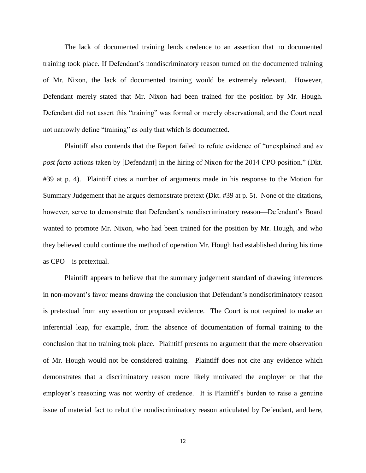The lack of documented training lends credence to an assertion that no documented training took place. If Defendant's nondiscriminatory reason turned on the documented training of Mr. Nixon, the lack of documented training would be extremely relevant. However, Defendant merely stated that Mr. Nixon had been trained for the position by Mr. Hough. Defendant did not assert this "training" was formal or merely observational, and the Court need not narrowly define "training" as only that which is documented.

Plaintiff also contends that the Report failed to refute evidence of "unexplained and *ex post facto* actions taken by [Defendant] in the hiring of Nixon for the 2014 CPO position." (Dkt. #39 at p. 4). Plaintiff cites a number of arguments made in his response to the Motion for Summary Judgement that he argues demonstrate pretext (Dkt. #39 at p. 5). None of the citations, however, serve to demonstrate that Defendant's nondiscriminatory reason—Defendant's Board wanted to promote Mr. Nixon, who had been trained for the position by Mr. Hough, and who they believed could continue the method of operation Mr. Hough had established during his time as CPO—is pretextual.

Plaintiff appears to believe that the summary judgement standard of drawing inferences in non-movant's favor means drawing the conclusion that Defendant's nondiscriminatory reason is pretextual from any assertion or proposed evidence. The Court is not required to make an inferential leap, for example, from the absence of documentation of formal training to the conclusion that no training took place. Plaintiff presents no argument that the mere observation of Mr. Hough would not be considered training. Plaintiff does not cite any evidence which demonstrates that a discriminatory reason more likely motivated the employer or that the employer's reasoning was not worthy of credence. It is Plaintiff's burden to raise a genuine issue of material fact to rebut the nondiscriminatory reason articulated by Defendant, and here,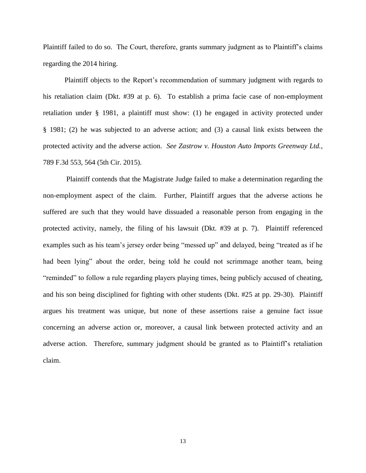Plaintiff failed to do so. The Court, therefore, grants summary judgment as to Plaintiff's claims regarding the 2014 hiring.

Plaintiff objects to the Report's recommendation of summary judgment with regards to his retaliation claim (Dkt. #39 at p. 6). To establish a prima facie case of non-employment retaliation under § 1981, a plaintiff must show: (1) he engaged in activity protected under § 1981; (2) he was subjected to an adverse action; and (3) a causal link exists between the protected activity and the adverse action. *See Zastrow v. Houston Auto Imports Greenway Ltd.*, 789 F.3d 553, 564 (5th Cir. 2015).

Plaintiff contends that the Magistrate Judge failed to make a determination regarding the non-employment aspect of the claim. Further, Plaintiff argues that the adverse actions he suffered are such that they would have dissuaded a reasonable person from engaging in the protected activity, namely, the filing of his lawsuit (Dkt. #39 at p. 7). Plaintiff referenced examples such as his team's jersey order being "messed up" and delayed, being "treated as if he had been lying" about the order, being told he could not scrimmage another team, being "reminded" to follow a rule regarding players playing times, being publicly accused of cheating, and his son being disciplined for fighting with other students (Dkt. #25 at pp. 29-30). Plaintiff argues his treatment was unique, but none of these assertions raise a genuine fact issue concerning an adverse action or, moreover, a causal link between protected activity and an adverse action. Therefore, summary judgment should be granted as to Plaintiff's retaliation claim.